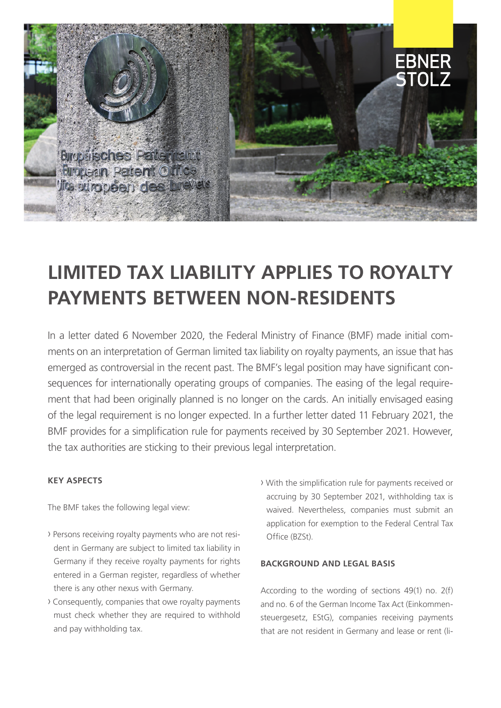

# **LIMITED TAX LIABILITY APPLIES TO ROYALTY PAYMENTS BETWEEN NON-RESIDENTS**

In a letter dated 6 November 2020, the Federal Ministry of Finance (BMF) made initial comments on an interpretation of German limited tax liability on royalty payments, an issue that has emerged as controversial in the recent past. The BMF's legal position may have significant consequences for internationally operating groups of companies. The easing of the legal requirement that had been originally planned is no longer on the cards. An initially envisaged easing of the legal requirement is no longer expected. In a further letter dated 11 February 2021, the BMF provides for a simplification rule for payments received by 30 September 2021. However, the tax authorities are sticking to their previous legal interpretation.

## **KEY ASPECTS**

The BMF takes the following legal view:

- › Persons receiving royalty payments who are not resident in Germany are subject to limited tax liability in Germany if they receive royalty payments for rights entered in a German register, regardless of whether there is any other nexus with Germany.
- › Consequently, companies that owe royalty payments must check whether they are required to withhold and pay withholding tax.
- › With the simplification rule for payments received or accruing by 30 September 2021, withholding tax is waived. Nevertheless, companies must submit an application for exemption to the Federal Central Tax Office (BZSt).

#### **BACKGROUND AND LEGAL BASIS**

According to the wording of sections 49(1) no. 2(f) and no. 6 of the German Income Tax Act (Einkommensteuergesetz, EStG), companies receiving payments that are not resident in Germany and lease or rent (li-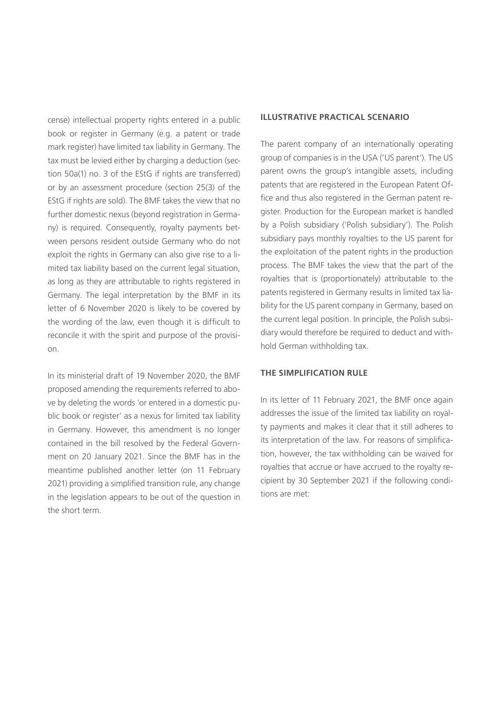cense) intellectual property rights entered in a public book or register in Germany (e.g. a patent or trade mark register) have limited tax liability in Germany. The tax must be levied either by charging a deduction (section 50a(1) no. 3 of the EStG if rights are transferred) or by an assessment procedure (section 25(3) of the EStG if rights are sold). The BMF takes the view that no further domestic nexus (beyond registration in Germany) is required. Consequently, royalty payments between persons resident outside Germany who do not exploit the rights in Germany can also give rise to a limited tax liability based on the current legal situation, as long as they are attributable to rights registered in Germany. The legal interpretation by the BMF in its letter of 6 November 2020 is likely to be covered by the wording of the law, even though it is difficult to reconcile it with the spirit and purpose of the provision.

In its ministerial draft of 19 November 2020, the BMF proposed amending the requirements referred to above by deleting the words 'or entered in a domestic public book or register' as a nexus for limited tax liability in Germany. However, this amendment is no longer contained in the bill resolved by the Federal Government on 20 January 2021. Since the BMF has in the meantime published another letter (on 11 February 2021) providing a simplified transition rule, any change in the legislation appears to be out of the question in the short term.

## **ILLUSTRATIVE PRACTICAL SCENARIO**

The parent company of an internationally operating group of companies is in the USA ('US parent'). The US parent owns the group's intangible assets, including patents that are registered in the European Patent Office and thus also registered in the German patent register. Production for the European market is handled by a Polish subsidiary ('Polish subsidiary'). The Polish subsidiary pays monthly royalties to the US parent for the exploitation of the patent rights in the production process. The BMF takes the view that the part of the royalties that is (proportionately) attributable to the patents registered in Germany results in limited tax liability for the US parent company in Germany, based on the current legal position. In principle, the Polish subsidiary would therefore be required to deduct and withhold German withholding tax.

### **THE SIMPLIFICATION RULE**

In its letter of 11 February 2021, the BMF once again addresses the issue of the limited tax liability on royalty payments and makes it clear that it still adheres to its interpretation of the law. For reasons of simplification, however, the tax withholding can be waived for royalties that accrue or have accrued to the royalty recipient by 30 September 2021 if the following conditions are met: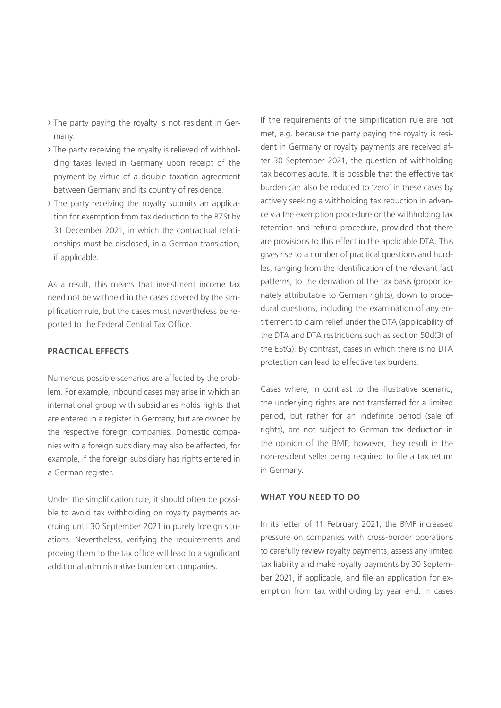- › The party paying the royalty is not resident in Germany.
- › The party receiving the royalty is relieved of withholding taxes levied in Germany upon receipt of the payment by virtue of a double taxation agreement between Germany and its country of residence.
- › The party receiving the royalty submits an application for exemption from tax deduction to the BZSt by 31 December 2021, in which the contractual relationships must be disclosed, in a German translation, if applicable.

As a result, this means that investment income tax need not be withheld in the cases covered by the simplification rule, but the cases must nevertheless be reported to the Federal Central Tax Office.

### **PRACTICAL EFFECTS**

Numerous possible scenarios are affected by the problem. For example, inbound cases may arise in which an international group with subsidiaries holds rights that are entered in a register in Germany, but are owned by the respective foreign companies. Domestic companies with a foreign subsidiary may also be affected, for example, if the foreign subsidiary has rights entered in a German register.

Under the simplification rule, it should often be possible to avoid tax withholding on royalty payments accruing until 30 September 2021 in purely foreign situations. Nevertheless, verifying the requirements and proving them to the tax office will lead to a significant additional administrative burden on companies.

If the requirements of the simplification rule are not met, e.g. because the party paying the royalty is resident in Germany or royalty payments are received after 30 September 2021, the question of withholding tax becomes acute. It is possible that the effective tax burden can also be reduced to 'zero' in these cases by actively seeking a withholding tax reduction in advance via the exemption procedure or the withholding tax retention and refund procedure, provided that there are provisions to this effect in the applicable DTA. This gives rise to a number of practical questions and hurdles, ranging from the identification of the relevant fact patterns, to the derivation of the tax basis (proportionately attributable to German rights), down to procedural questions, including the examination of any entitlement to claim relief under the DTA (applicability of the DTA and DTA restrictions such as section 50d(3) of the EStG). By contrast, cases in which there is no DTA protection can lead to effective tax burdens.

Cases where, in contrast to the illustrative scenario, the underlying rights are not transferred for a limited period, but rather for an indefinite period (sale of rights), are not subject to German tax deduction in the opinion of the BMF; however, they result in the non-resident seller being required to file a tax return in Germany.

#### **WHAT YOU NEED TO DO**

In its letter of 11 February 2021, the BMF increased pressure on companies with cross-border operations to carefully review royalty payments, assess any limited tax liability and make royalty payments by 30 September 2021, if applicable, and file an application for exemption from tax withholding by year end. In cases